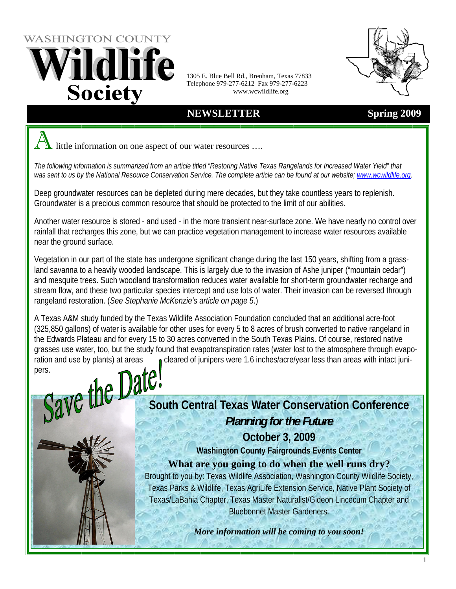WASHINGTON COUNTY ildlife **Society** 

1305 E. Blue Bell Rd., Brenham, Texas 77833 Telephone 979-277-6212 Fax 979-277-6223 www.wcwildlife.org

## **NEWSLETTER** Spring 2009

little information on one aspect of our water resources ....

*The following information is summarized from an article titled "Restoring Native Texas Rangelands for Increased Water Yield" that was sent to us by the National Resource Conservation Service. The complete article can be found at our website; www.wcwildlife.org.* 

Deep groundwater resources can be depleted during mere decades, but they take countless years to replenish. Groundwater is a precious common resource that should be protected to the limit of our abilities.

Another water resource is stored - and used - in the more transient near-surface zone. We have nearly no control over rainfall that recharges this zone, but we can practice vegetation management to increase water resources available near the ground surface.

Vegetation in our part of the state has undergone significant change during the last 150 years, shifting from a grassland savanna to a heavily wooded landscape. This is largely due to the invasion of Ashe juniper ("mountain cedar") and mesquite trees. Such woodland transformation reduces water available for short-term groundwater recharge and stream flow, and these two particular species intercept and use lots of water. Their invasion can be reversed through rangeland restoration. (*See Stephanie McKenzie's article on page 5*.)

A Texas A&M study funded by the Texas Wildlife Association Foundation concluded that an additional acre-foot (325,850 gallons) of water is available for other uses for every 5 to 8 acres of brush converted to native rangeland in the Edwards Plateau and for every 15 to 30 acres converted in the South Texas Plains. Of course, restored native grasses use water, too, but the study found that evapotranspiration rates (water lost to the atmosphere through evaporation and use by plants) at areas cleared of junipers were 1.6 inches/acre/year less than areas with intact junipers.<br>Salve the Date of the central Texas interved interved in the contral of the solution of the solution of pers.

**South Central Texas Water Conservation Conference**  *Planning for the Future* 

**October 3, 2009** 

**Washington County Fairgrounds Events Center** 

**What are you going to do when the well runs dry?** 

Brought to you by: Texas Wildlife Association, Washington County Wildlife Society, Texas Parks & Wildlife, Texas AgriLife Extension Service, Native Plant Society of Texas/LaBahia Chapter, Texas Master Naturalist/Gideon Lincecum Chapter and Bluebonnet Master Gardeners.

*More information will be coming to you soon!*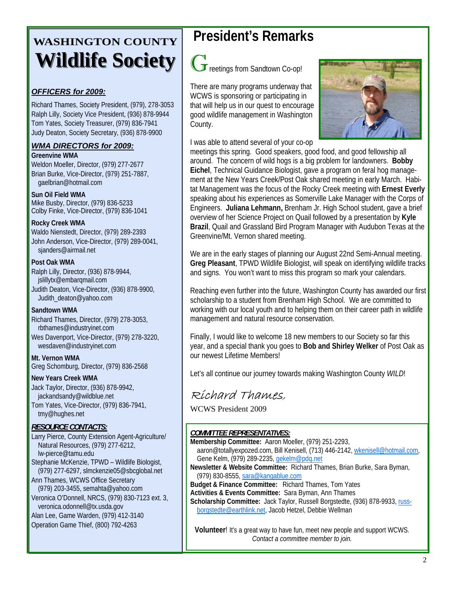# **WASHINGTON COUNTY Wildlife Society Wildlife Society**

#### *OFFICERS for 2009:*

Richard Thames, Society President, (979), 278-3053 Ralph Lilly, Society Vice President, (936) 878-9944 Tom Yates, Society Treasurer, (979) 836-7941 Judy Deaton, Society Secretary, (936) 878-9900

### *WMA DIRECTORS for 2009:*

**Greenvine WMA** 

Weldon Moeller, Director, (979) 277-2677 Brian Burke, Vice-Director, (979) 251-7887, gaelbrian@hotmail.com

#### **Sun Oil Field WMA**

Mike Busby, Director, (979) 836-5233 Colby Finke, Vice-Director, (979) 836-1041

#### **Rocky Creek WMA**

Waldo Nienstedt, Director, (979) 289-2393 John Anderson, Vice-Director, (979) 289-0041, sjanders@airmail.net

#### **Post Oak WMA**

Ralph Lilly, Director, (936) 878-9944, jslillytx@embarqmail.com Judith Deaton, Vice-Director, (936) 878-9900, Judith\_deaton@yahoo.com

#### **Sandtown WMA**

Richard Thames, Director, (979) 278-3053, rbthames@industryinet.com Wes Davenport, Vice-Director, (979) 278-3220, wesdaven@industryinet.com

#### **Mt. Vernon WMA**

Greg Schomburg, Director, (979) 836-2568

#### **New Years Creek WMA**

Jack Taylor, Director, (936) 878-9942, jackandsandy@wildblue.net Tom Yates, Vice-Director, (979) 836-7941, tmy@hughes.net

#### *RESOURCE CONTACTS:*

Larry Pierce, County Extension Agent-Agriculture/ Natural Resources, (979) 277-6212, lw-pierce@tamu.edu Stephanie McKenzie, TPWD – Wildlife Biologist, (979) 277-6297, slmckenzie05@sbcglobal.net Ann Thames, WCWS Office Secretary (979) 203-3455, semahta@yahoo.com Veronica O'Donnell, NRCS, (979) 830-7123 ext. 3, veronica.odonnell@tx.usda.gov Alan Lee, Game Warden, (979) 412-3140

Operation Game Thief, (800) 792-4263

## **President's Remarks**



There are many programs underway that WCWS is sponsoring or participating in that will help us in our quest to encourage good wildlife management in Washington County.

#### I was able to attend several of your co-op

meetings this spring. Good speakers, good food, and good fellowship all around. The concern of wild hogs is a big problem for landowners. **Bobby Eichel**, Technical Guidance Biologist, gave a program on feral hog management at the New Years Creek/Post Oak shared meeting in early March. Habitat Management was the focus of the Rocky Creek meeting with **Ernest Everly**  speaking about his experiences as Somerville Lake Manager with the Corps of Engineers. **Juliana Lehmann,** Brenham Jr. High School student, gave a brief overview of her Science Project on Quail followed by a presentation by **Kyle Brazil**, Quail and Grassland Bird Program Manager with Audubon Texas at the Greenvine/Mt. Vernon shared meeting.

We are in the early stages of planning our August 22nd Semi-Annual meeting. **Greg Pleasant**, TPWD Wildlife Biologist, will speak on identifying wildlife tracks and signs. You won't want to miss this program so mark your calendars.

Reaching even further into the future, Washington County has awarded our first scholarship to a student from Brenham High School. We are committed to working with our local youth and to helping them on their career path in wildlife management and natural resource conservation.

Finally, I would like to welcome 18 new members to our Society so far this year, and a special thank you goes to **Bob and Shirley Welker** of Post Oak as our newest Lifetime Members!

Let's all continue our journey towards making Washington County *WILD*!

## Richard Thames,

WCWS President 2009

#### *COMMITTEE REPRESENTATIVES:*

**Membership Committee:** Aaron Moeller, (979) 251-2293,

- aaron@totallyexpozed.com, Bill Kenisell, (713) 446-2142, wkenisell@hotmail.com, Gene Kelm, (979) 289-2235, gekelm@pdq.net
- **Newsletter & Website Committee:** Richard Thames, Brian Burke, Sara Byman, (979) 830-8555, sara@kangablue.com

**Budget & Finance Committee:** Richard Thames, Tom Yates

**Activities & Events Committee:** Sara Byman, Ann Thames

**Scholarship Committee:** Jack Taylor, Russell Borgstedte, (936) 878-9933, russborgstedte@earthlink.net, Jacob Hetzel, Debbie Wellman

**Volunteer**! It's a great way to have fun, meet new people and support WCWS*. Contact a committee member to join.*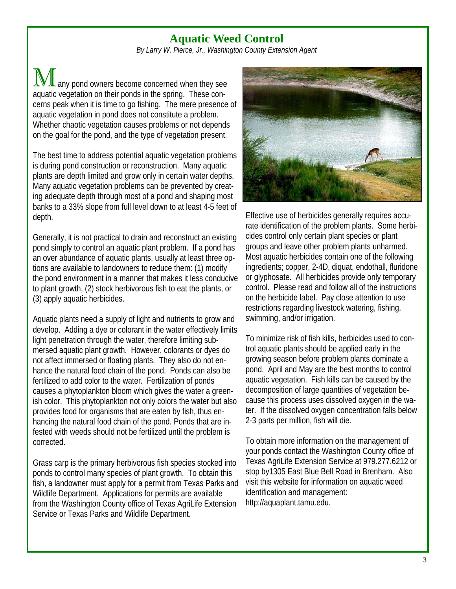## **Aquatic Weed Control**

*By Larry W. Pierce, Jr., Washington County Extension Agent* 

any pond owners become concerned when they see aquatic vegetation on their ponds in the spring. These concerns peak when it is time to go fishing. The mere presence of aquatic vegetation in pond does not constitute a problem. Whether chaotic vegetation causes problems or not depends on the goal for the pond, and the type of vegetation present.

The best time to address potential aquatic vegetation problems is during pond construction or reconstruction. Many aquatic plants are depth limited and grow only in certain water depths. Many aquatic vegetation problems can be prevented by creating adequate depth through most of a pond and shaping most banks to a 33% slope from full level down to at least 4-5 feet of depth.

Generally, it is not practical to drain and reconstruct an existing pond simply to control an aquatic plant problem. If a pond has an over abundance of aquatic plants, usually at least three options are available to landowners to reduce them: (1) modify the pond environment in a manner that makes it less conducive to plant growth, (2) stock herbivorous fish to eat the plants, or (3) apply aquatic herbicides.

Aquatic plants need a supply of light and nutrients to grow and develop. Adding a dye or colorant in the water effectively limits light penetration through the water, therefore limiting submersed aquatic plant growth. However, colorants or dyes do not affect immersed or floating plants. They also do not enhance the natural food chain of the pond. Ponds can also be fertilized to add color to the water. Fertilization of ponds causes a phytoplankton bloom which gives the water a greenish color. This phytoplankton not only colors the water but also provides food for organisms that are eaten by fish, thus enhancing the natural food chain of the pond. Ponds that are infested with weeds should not be fertilized until the problem is corrected.

Grass carp is the primary herbivorous fish species stocked into ponds to control many species of plant growth. To obtain this fish, a landowner must apply for a permit from Texas Parks and Wildlife Department. Applications for permits are available from the Washington County office of Texas AgriLife Extension Service or Texas Parks and Wildlife Department.



Effective use of herbicides generally requires accurate identification of the problem plants. Some herbicides control only certain plant species or plant groups and leave other problem plants unharmed. Most aquatic herbicides contain one of the following ingredients; copper, 2-4D, diquat, endothall, fluridone or glyphosate. All herbicides provide only temporary control. Please read and follow all of the instructions on the herbicide label. Pay close attention to use restrictions regarding livestock watering, fishing, swimming, and/or irrigation.

To minimize risk of fish kills, herbicides used to control aquatic plants should be applied early in the growing season before problem plants dominate a pond. April and May are the best months to control aquatic vegetation. Fish kills can be caused by the decomposition of large quantities of vegetation because this process uses dissolved oxygen in the water. If the dissolved oxygen concentration falls below 2-3 parts per million, fish will die.

To obtain more information on the management of your ponds contact the Washington County office of Texas AgriLife Extension Service at 979.277.6212 or stop by1305 East Blue Bell Road in Brenham. Also visit this website for information on aquatic weed identification and management: http://aquaplant.tamu.edu.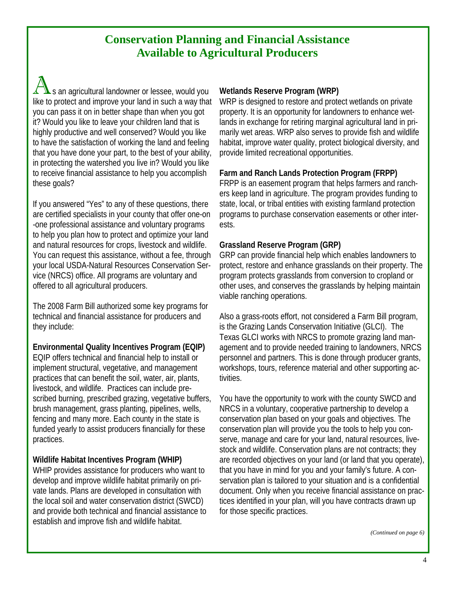## **Conservation Planning and Financial Assistance Available to Agricultural Producers**

s an agricultural landowner or lessee, would you like to protect and improve your land in such a way that you can pass it on in better shape than when you got it? Would you like to leave your children land that is highly productive and well conserved? Would you like to have the satisfaction of working the land and feeling that you have done your part, to the best of your ability, in protecting the watershed you live in? Would you like to receive financial assistance to help you accomplish these goals?

If you answered "Yes" to any of these questions, there are certified specialists in your county that offer one-on -one professional assistance and voluntary programs to help you plan how to protect and optimize your land and natural resources for crops, livestock and wildlife. You can request this assistance, without a fee, through your local USDA-Natural Resources Conservation Service (NRCS) office. All programs are voluntary and offered to all agricultural producers.

The 2008 Farm Bill authorized some key programs for technical and financial assistance for producers and they include:

**Environmental Quality Incentives Program (EQIP)** 

EQIP offers technical and financial help to install or implement structural, vegetative, and management practices that can benefit the soil, water, air, plants, livestock, and wildlife. Practices can include prescribed burning, prescribed grazing, vegetative buffers, brush management, grass planting, pipelines, wells, fencing and many more. Each county in the state is funded yearly to assist producers financially for these practices.

### **Wildlife Habitat Incentives Program (WHIP)**

WHIP provides assistance for producers who want to develop and improve wildlife habitat primarily on private lands. Plans are developed in consultation with the local soil and water conservation district (SWCD) and provide both technical and financial assistance to establish and improve fish and wildlife habitat.

#### **Wetlands Reserve Program (WRP)**

WRP is designed to restore and protect wetlands on private property. It is an opportunity for landowners to enhance wetlands in exchange for retiring marginal agricultural land in primarily wet areas. WRP also serves to provide fish and wildlife habitat, improve water quality, protect biological diversity, and provide limited recreational opportunities.

#### **Farm and Ranch Lands Protection Program (FRPP)**

FRPP is an easement program that helps farmers and ranchers keep land in agriculture. The program provides funding to state, local, or tribal entities with existing farmland protection programs to purchase conservation easements or other interests.

#### **Grassland Reserve Program (GRP)**

GRP can provide financial help which enables landowners to protect, restore and enhance grasslands on their property. The program protects grasslands from conversion to cropland or other uses, and conserves the grasslands by helping maintain viable ranching operations.

Also a grass-roots effort, not considered a Farm Bill program, is the Grazing Lands Conservation Initiative (GLCI). The Texas GLCI works with NRCS to promote grazing land management and to provide needed training to landowners, NRCS personnel and partners. This is done through producer grants, workshops, tours, reference material and other supporting activities.

You have the opportunity to work with the county SWCD and NRCS in a voluntary, cooperative partnership to develop a conservation plan based on your goals and objectives. The conservation plan will provide you the tools to help you conserve, manage and care for your land, natural resources, livestock and wildlife. Conservation plans are not contracts; they are recorded objectives on your land (or land that you operate), that you have in mind for you and your family's future. A conservation plan is tailored to your situation and is a confidential document. Only when you receive financial assistance on practices identified in your plan, will you have contracts drawn up for those specific practices.

*(Continued on page 6)*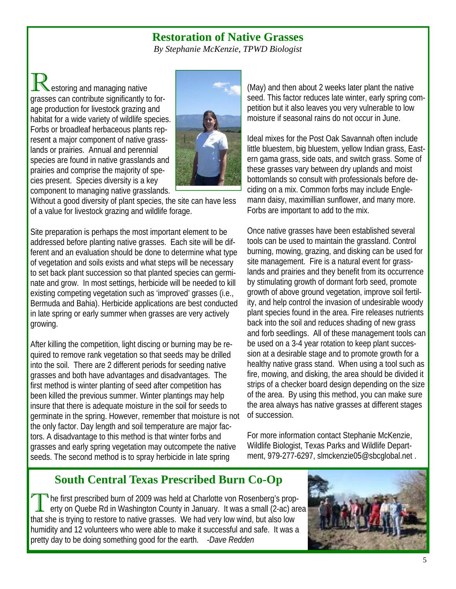### **Restoration of Native Grasses**

*By Stephanie McKenzie, TPWD Biologist* 

estoring and managing native grasses can contribute significantly to forage production for livestock grazing and habitat for a wide variety of wildlife species. Forbs or broadleaf herbaceous plants represent a major component of native grasslands or prairies. Annual and perennial species are found in native grasslands and prairies and comprise the majority of species present. Species diversity is a key component to managing native grasslands.



Without a good diversity of plant species, the site can have less of a value for livestock grazing and wildlife forage.

Site preparation is perhaps the most important element to be addressed before planting native grasses. Each site will be different and an evaluation should be done to determine what type of vegetation and soils exists and what steps will be necessary to set back plant succession so that planted species can germinate and grow. In most settings, herbicide will be needed to kill existing competing vegetation such as 'improved' grasses (i.e., Bermuda and Bahia). Herbicide applications are best conducted in late spring or early summer when grasses are very actively growing.

After killing the competition, light discing or burning may be required to remove rank vegetation so that seeds may be drilled into the soil. There are 2 different periods for seeding native grasses and both have advantages and disadvantages. The first method is winter planting of seed after competition has been killed the previous summer. Winter plantings may help insure that there is adequate moisture in the soil for seeds to germinate in the spring. However, remember that moisture is not the only factor. Day length and soil temperature are major factors. A disadvantage to this method is that winter forbs and grasses and early spring vegetation may outcompete the native seeds. The second method is to spray herbicide in late spring

(May) and then about 2 weeks later plant the native seed. This factor reduces late winter, early spring competition but it also leaves you very vulnerable to low moisture if seasonal rains do not occur in June.

Ideal mixes for the Post Oak Savannah often include little bluestem, big bluestem, yellow Indian grass, Eastern gama grass, side oats, and switch grass. Some of these grasses vary between dry uplands and moist bottomlands so consult with professionals before deciding on a mix. Common forbs may include Englemann daisy, maximillian sunflower, and many more. Forbs are important to add to the mix.

Once native grasses have been established several tools can be used to maintain the grassland. Control burning, mowing, grazing, and disking can be used for site management. Fire is a natural event for grasslands and prairies and they benefit from its occurrence by stimulating growth of dormant forb seed, promote growth of above ground vegetation, improve soil fertility, and help control the invasion of undesirable woody plant species found in the area. Fire releases nutrients back into the soil and reduces shading of new grass and forb seedlings. All of these management tools can be used on a 3-4 year rotation to keep plant succession at a desirable stage and to promote growth for a healthy native grass stand. When using a tool such as fire, mowing, and disking, the area should be divided it strips of a checker board design depending on the size of the area. By using this method, you can make sure the area always has native grasses at different stages of succession.

For more information contact Stephanie McKenzie, Wildlife Biologist, Texas Parks and Wildlife Department, 979-277-6297, slmckenzie05@sbcglobal.net .

## **South Central Texas Prescribed Burn Co-Op**

The first prescribed burn of 2009 was held at Charlotte von Rosenberg's property on Quebe Rd in Washington County in January. It was a small (2-ac) area that she is trying to restore to native grasses. We had very low wind, but also low humidity and 12 volunteers who were able to make it successful and safe. It was a pretty day to be doing something good for the earth. *-Dave Redden*

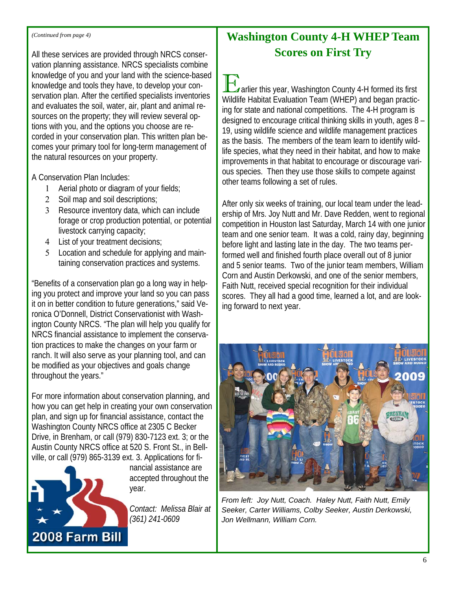#### *(Continued from page 4)*

All these services are provided through NRCS conservation planning assistance. NRCS specialists combine knowledge of you and your land with the science-based knowledge and tools they have, to develop your conservation plan. After the certified specialists inventories and evaluates the soil, water, air, plant and animal resources on the property; they will review several options with you, and the options you choose are recorded in your conservation plan. This written plan becomes your primary tool for long-term management of the natural resources on your property.

A Conservation Plan Includes:

- 1 Aerial photo or diagram of your fields;
- 2 Soil map and soil descriptions;
- 3 Resource inventory data, which can include forage or crop production potential, or potential livestock carrying capacity;
- 4 List of your treatment decisions;
- 5 Location and schedule for applying and maintaining conservation practices and systems.

"Benefits of a conservation plan go a long way in helping you protect and improve your land so you can pass it on in better condition to future generations," said Veronica O'Donnell, District Conservationist with Washington County NRCS. "The plan will help you qualify for NRCS financial assistance to implement the conservation practices to make the changes on your farm or ranch. It will also serve as your planning tool, and can be modified as your objectives and goals change throughout the years."

For more information about conservation planning, and how you can get help in creating your own conservation plan, and sign up for financial assistance, contact the Washington County NRCS office at 2305 C Becker Drive, in Brenham, or call (979) 830-7123 ext. 3; or the Austin County NRCS office at 520 S. Front St., in Bellville, or call (979) 865-3139 ext. 3. Applications for fi-



nancial assistance are accepted throughout the year.

*Contact: Melissa Blair at (361) 241-0609* 

## **Washington County 4-H WHEP Team Scores on First Try**

 $\overline{a}$  arlier this year, Washington County 4-H formed its first Wildlife Habitat Evaluation Team (WHEP) and began practicing for state and national competitions. The 4-H program is designed to encourage critical thinking skills in youth, ages 8 – 19, using wildlife science and wildlife management practices as the basis. The members of the team learn to identify wildlife species, what they need in their habitat, and how to make improvements in that habitat to encourage or discourage various species. Then they use those skills to compete against other teams following a set of rules.

After only six weeks of training, our local team under the leadership of Mrs. Joy Nutt and Mr. Dave Redden, went to regional competition in Houston last Saturday, March 14 with one junior team and one senior team. It was a cold, rainy day, beginning before light and lasting late in the day. The two teams performed well and finished fourth place overall out of 8 junior and 5 senior teams. Two of the junior team members, William Corn and Austin Derkowski, and one of the senior members, Faith Nutt, received special recognition for their individual scores. They all had a good time, learned a lot, and are looking forward to next year.



*From left: Joy Nutt, Coach. Haley Nutt, Faith Nutt, Emily Seeker, Carter Williams, Colby Seeker, Austin Derkowski, Jon Wellmann, William Corn.*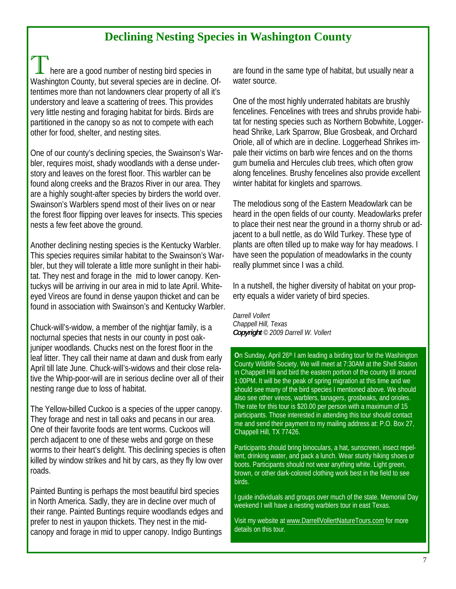## **Declining Nesting Species in Washington County**

there are a good number of nesting bird species in Washington County, but several species are in decline. Oftentimes more than not landowners clear property of all it's understory and leave a scattering of trees. This provides very little nesting and foraging habitat for birds. Birds are partitioned in the canopy so as not to compete with each other for food, shelter, and nesting sites.

One of our county's declining species, the Swainson's Warbler, requires moist, shady woodlands with a dense understory and leaves on the forest floor. This warbler can be found along creeks and the Brazos River in our area. They are a highly sought-after species by birders the world over. Swainson's Warblers spend most of their lives on or near the forest floor flipping over leaves for insects. This species nests a few feet above the ground.

Another declining nesting species is the Kentucky Warbler. This species requires similar habitat to the Swainson's Warbler, but they will tolerate a little more sunlight in their habitat. They nest and forage in the mid to lower canopy. Kentuckys will be arriving in our area in mid to late April. Whiteeyed Vireos are found in dense yaupon thicket and can be found in association with Swainson's and Kentucky Warbler.

Chuck-will's-widow, a member of the nightjar family, is a nocturnal species that nests in our county in post oakjuniper woodlands. Chucks nest on the forest floor in the leaf litter. They call their name at dawn and dusk from early April till late June. Chuck-will's-widows and their close relative the Whip-poor-will are in serious decline over all of their nesting range due to loss of habitat.

The Yellow-billed Cuckoo is a species of the upper canopy. They forage and nest in tall oaks and pecans in our area. One of their favorite foods are tent worms. Cuckoos will perch adjacent to one of these webs and gorge on these worms to their heart's delight. This declining species is often killed by window strikes and hit by cars, as they fly low over roads.

Painted Bunting is perhaps the most beautiful bird species in North America. Sadly, they are in decline over much of their range. Painted Buntings require woodlands edges and prefer to nest in yaupon thickets. They nest in the midcanopy and forage in mid to upper canopy. Indigo Buntings

are found in the same type of habitat, but usually near a water source.

One of the most highly underrated habitats are brushly fencelines. Fencelines with trees and shrubs provide habitat for nesting species such as Northern Bobwhite, Loggerhead Shrike, Lark Sparrow, Blue Grosbeak, and Orchard Oriole, all of which are in decline. Loggerhead Shrikes impale their victims on barb wire fences and on the thorns gum bumelia and Hercules club trees, which often grow along fencelines. Brushy fencelines also provide excellent winter habitat for kinglets and sparrows.

The melodious song of the Eastern Meadowlark can be heard in the open fields of our county. Meadowlarks prefer to place their nest near the ground in a thorny shrub or adjacent to a bull nettle, as do Wild Turkey. These type of plants are often tilled up to make way for hay meadows. I have seen the population of meadowlarks in the county really plummet since I was a child.

In a nutshell, the higher diversity of habitat on your property equals a wider variety of bird species.

*Darrell Vollert Chappell Hill, Texas Copyright © 2009 Darrell W. Vollert* 

**On Sunday, April 26<sup>th</sup> I am leading a birding tour for the Washington** County Wildlife Society. We will meet at 7:30AM at the Shell Station in Chappell Hill and bird the eastern portion of the county till around 1:00PM. It will be the peak of spring migration at this time and we should see many of the bird species I mentioned above. We should also see other vireos, warblers, tanagers, grosbeaks, and orioles. The rate for this tour is \$20.00 per person with a maximum of 15 participants. Those interested in attending this tour should contact me and send their payment to my mailing address at: P.O. Box 27, Chappell Hill, TX 77426.

Participants should bring binoculars, a hat, sunscreen, insect repellent, drinking water, and pack a lunch. Wear sturdy hiking shoes or boots. Participants should not wear anything white. Light green, brown, or other dark-colored clothing work best in the field to see birds.

I guide individuals and groups over much of the state. Memorial Day weekend I will have a nesting warblers tour in east Texas.

Visit my website at www.DarrellVollertNatureTours.com for more details on this tour.